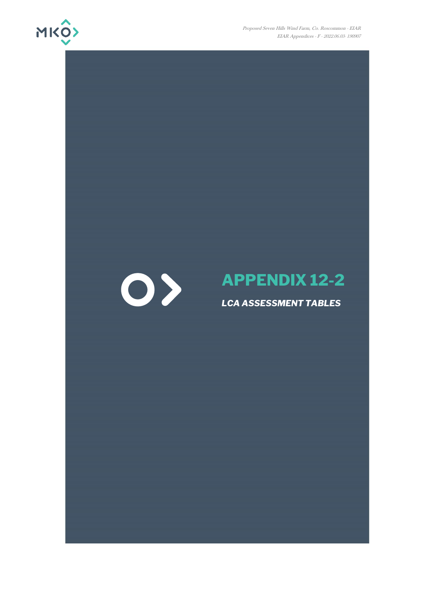

Proposed Seven Hills Wind Farm, Co. Roscommon - EIAR EIAR Appendices - F - 2022.06.03- 190907

# 0>

# **APPENDIX 12-2**

### *LCA ASSESSMENT TABLES*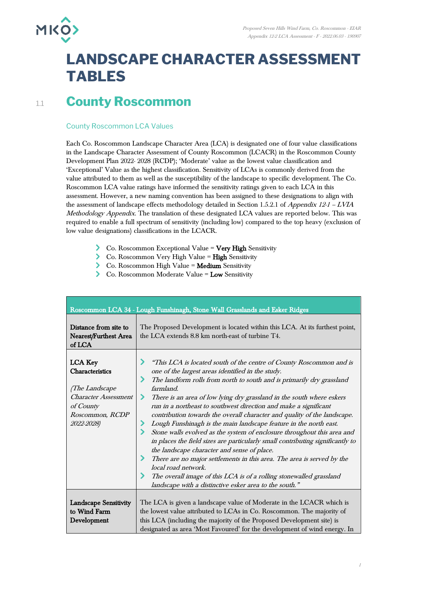

## **LANDSCAPE CHARACTER ASSESSMENT TABLES**

## 1.1 **County Roscommon**

#### County Roscommon LCA Values

Each Co. Roscommon Landscape Character Area (LCA) is designated one of four value classifications in the Landscape Character Assessment of County Roscommon (LCACR) in the Roscommon County Development Plan 2022- 2028 (RCDP); 'Moderate' value as the lowest value classification and 'Exceptional' Value as the highest classification. Sensitivity of LCAs is commonly derived from the value attributed to them as well as the susceptibility of the landscape to specific development. The Co. Roscommon LCA value ratings have informed the sensitivity ratings given to each LCA in this assessment. However, a new naming convention has been assigned to these designations to align with the assessment of landscape effects methodology detailed in Section 1.5.2.1 of *Appendix 12-1 – LVIA* Methodology Appendix. The translation of these designated LCA values are reported below. This was required to enable a full spectrum of sensitivity (including low) compared to the top heavy (exclusion of low value designations) classifications in the LCACR.

- Co. Roscommon Exceptional Value = Very High Sensitivity
- Co. Roscommon Very High Value = High Sensitivity
- Co. Roscommon High Value = Medium Sensitivity
- $\sum$  Co. Roscommon Moderate Value = Low Sensitivity

|                                                                                                                                  | Roscommon LCA 34 - Lough Funshinagh, Stone Wall Grasslands and Esker Ridges                                                                                                                                                                                                                                                                                                                                                                                                                                                                                                                                                                                                                                                                                                                                                                                                                                                                                          |
|----------------------------------------------------------------------------------------------------------------------------------|----------------------------------------------------------------------------------------------------------------------------------------------------------------------------------------------------------------------------------------------------------------------------------------------------------------------------------------------------------------------------------------------------------------------------------------------------------------------------------------------------------------------------------------------------------------------------------------------------------------------------------------------------------------------------------------------------------------------------------------------------------------------------------------------------------------------------------------------------------------------------------------------------------------------------------------------------------------------|
| Distance from site to<br>Nearest/Furthest Area<br>of LCA                                                                         | The Proposed Development is located within this LCA. At its furthest point,<br>the LCA extends 8.8 km north-east of turbine T4.                                                                                                                                                                                                                                                                                                                                                                                                                                                                                                                                                                                                                                                                                                                                                                                                                                      |
| <b>LCA Key</b><br>Characteristics<br>(The Landscape<br><b>Character Assessment</b><br>of County<br>Roscommon, RCDP<br>2022-2028) | "This LCA is located south of the centre of County Roscommon and is<br>one of the largest areas identified in the study.<br>The landform rolls from north to south and is primarily dry grassland<br>farmland.<br>⋗<br>There is an area of low lying dry grassland in the south where eskers<br>run in a northeast to southwest direction and make a significant<br>contribution towards the overall character and quality of the landscape.<br>Lough Funshinagh is the main landscape feature in the north east.<br>Stone walls evolved as the system of enclosure throughout this area and<br>in places the field sizes are particularly small contributing significantly to<br>the landscape character and sense of place.<br>⋗<br>There are no major settlements in this area. The area is served by the<br>local road network.<br>The overall image of this LCA is of a rolling stonewalled grassland<br>landscape with a distinctive esker area to the south." |
| <b>Landscape Sensitivity</b><br>to Wind Farm<br>Development                                                                      | The LCA is given a landscape value of Moderate in the LCACR which is<br>the lowest value attributed to LCAs in Co. Roscommon. The majority of<br>this LCA (including the majority of the Proposed Development site) is<br>designated as area 'Most Favoured' for the development of wind energy. In                                                                                                                                                                                                                                                                                                                                                                                                                                                                                                                                                                                                                                                                  |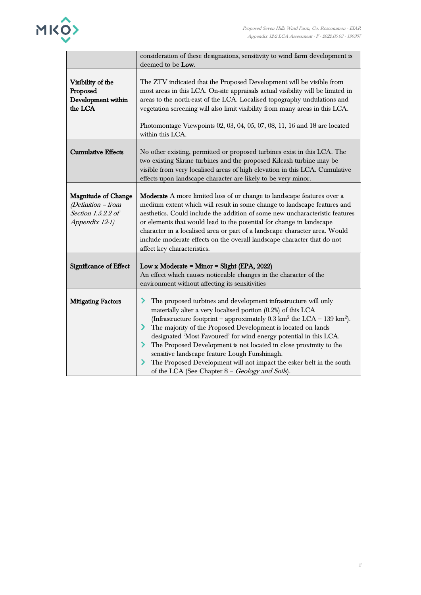

|                                                                                   | consideration of these designations, sensitivity to wind farm development is<br>deemed to be Low.                                                                                                                                                                                                                                                                                                                                                                                                                                                                                                                                          |
|-----------------------------------------------------------------------------------|--------------------------------------------------------------------------------------------------------------------------------------------------------------------------------------------------------------------------------------------------------------------------------------------------------------------------------------------------------------------------------------------------------------------------------------------------------------------------------------------------------------------------------------------------------------------------------------------------------------------------------------------|
| Visibility of the<br>Proposed<br>Development within<br>the LCA                    | The ZTV indicated that the Proposed Development will be visible from<br>most areas in this LCA. On-site appraisals actual visibility will be limited in<br>areas to the north-east of the LCA. Localised topography undulations and<br>vegetation screening will also limit visibility from many areas in this LCA.<br>Photomontage Viewpoints 02, 03, 04, 05, 07, 08, 11, 16 and 18 are located<br>within this LCA.                                                                                                                                                                                                                       |
| <b>Cumulative Effects</b>                                                         | No other existing, permitted or proposed turbines exist in this LCA. The<br>two existing Skrine turbines and the proposed Kilcash turbine may be<br>visible from very localised areas of high elevation in this LCA. Cumulative<br>effects upon landscape character are likely to be very minor.                                                                                                                                                                                                                                                                                                                                           |
| Magnitude of Change<br>(Definition - from<br>Section 1.5.2.2 of<br>Appendix 12-1) | Moderate A more limited loss of or change to landscape features over a<br>medium extent which will result in some change to landscape features and<br>aesthetics. Could include the addition of some new uncharacteristic features<br>or elements that would lead to the potential for change in landscape<br>character in a localised area or part of a landscape character area. Would<br>include moderate effects on the overall landscape character that do not<br>affect key characteristics.                                                                                                                                         |
| Significance of Effect                                                            | Low x Moderate = Minor = Slight (EPA, 2022)<br>An effect which causes noticeable changes in the character of the<br>environment without affecting its sensitivities                                                                                                                                                                                                                                                                                                                                                                                                                                                                        |
| <b>Mitigating Factors</b>                                                         | ⋗<br>The proposed turbines and development infrastructure will only<br>materially alter a very localised portion (0.2%) of this LCA<br>(Infrastructure footprint = approximately 0.3 km <sup>2</sup> the LCA = 139 km <sup>2</sup> ).<br>⋗<br>The majority of the Proposed Development is located on lands<br>designated 'Most Favoured' for wind energy potential in this LCA.<br>The Proposed Development is not located in close proximity to the<br>⋗<br>sensitive landscape feature Lough Funshinagh.<br>The Proposed Development will not impact the esker belt in the south<br>⋗<br>of the LCA (See Chapter 8 - Geology and Soils). |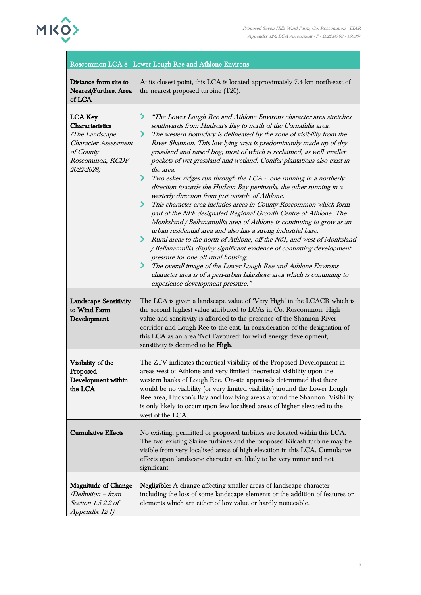

| <b>MKO&gt;</b>                                 | Proposed Seven Hills Wind Farm, Co. Roscommon - E<br>Appendix 12-2 LCA Assessment - F - 2022.06.03 - 19             |
|------------------------------------------------|---------------------------------------------------------------------------------------------------------------------|
|                                                | Roscommon LCA 8 - Lower Lough Ree and Athlone Environs                                                              |
| Distance from site to<br>Nearest/Furthest Area | At its closest point, this LCA is located approximately 7.4 km north-east of<br>the nearest proposed turbine (T20). |
| of LCA                                         |                                                                                                                     |
| <b>LCA Key</b>                                 | "The Lower Lough Ree and Athlone Environs character area stretches                                                  |
| Characteristics                                | southwards from Hudson's Bay to north of the Cornafulla area.                                                       |
| <i>(The Landscape</i> )                        | The western boundary is delineated by the zone of visibility from the                                               |
| <b>Character Assessment</b>                    | River Shannon. This low lying area is predominantly made up of dry                                                  |
| of County                                      | grassland and raised bog, most of which is reclaimed, as well smaller                                               |
| Roscommon, RCDP                                | pockets of wet grassland and wetland. Conifer plantations also exist in                                             |
| 2022-2028)                                     | the area.                                                                                                           |
|                                                | Two esker ridges run through the $LCA$ - one running in a northerly                                                 |

#### ee and Athlone Environs

| Nearest/Furthest Area<br>of LCA                                                                                                  | the nearest proposed turbine (T20).                                                                                                                                                                                                                                                                                                                                                                                                                                                                                                                                                                                                                                                                                                                                                                                                                                                                                                                                                                                                                                                                                                                                                                                                                                                                                                              |
|----------------------------------------------------------------------------------------------------------------------------------|--------------------------------------------------------------------------------------------------------------------------------------------------------------------------------------------------------------------------------------------------------------------------------------------------------------------------------------------------------------------------------------------------------------------------------------------------------------------------------------------------------------------------------------------------------------------------------------------------------------------------------------------------------------------------------------------------------------------------------------------------------------------------------------------------------------------------------------------------------------------------------------------------------------------------------------------------------------------------------------------------------------------------------------------------------------------------------------------------------------------------------------------------------------------------------------------------------------------------------------------------------------------------------------------------------------------------------------------------|
| <b>LCA Key</b><br>Characteristics<br>(The Landscape<br><b>Character Assessment</b><br>of County<br>Roscommon, RCDP<br>2022-2028) | ⋗<br>"The Lower Lough Ree and Athlone Environs character area stretches<br>southwards from Hudson's Bay to north of the Cornafulla area.<br>The western boundary is delineated by the zone of visibility from the<br>⋗<br>River Shannon. This low lying area is predominantly made up of dry<br>grassland and raised bog, most of which is reclaimed, as well smaller<br>pockets of wet grassland and wetland. Conifer plantations also exist in<br>the area.<br>⋗<br>Two esker ridges run through the LCA - one running in a northerly<br>direction towards the Hudson Bay peninsula, the other running in a<br>westerly direction from just outside of Athlone.<br>This character area includes areas in County Roscommon which form<br>⋗<br>part of the NPF designated Regional Growth Centre of Athlone. The<br>Monksland / Bellanamullia area of Athlone is continuing to grow as an<br>urban residential area and also has a strong industrial base.<br>Rural areas to the north of Athlone, off the N61, and west of Monksland<br>⋗<br>/Bellanamullia display significant evidence of continuing development<br>pressure for one off rural housing.<br>⋗<br>The overall image of the Lower Lough Ree and Athlone Environs<br>character area is of a peri-urban lakeshore area which is continuing to<br>experience development pressure." |
| <b>Landscape Sensitivity</b><br>to Wind Farm<br>Development                                                                      | The LCA is given a landscape value of 'Very High' in the LCACR which is<br>the second highest value attributed to LCAs in Co. Roscommon. High<br>value and sensitivity is afforded to the presence of the Shannon River<br>corridor and Lough Ree to the east. In consideration of the designation of<br>this LCA as an area 'Not Favoured' for wind energy development,<br>sensitivity is deemed to be High.                                                                                                                                                                                                                                                                                                                                                                                                                                                                                                                                                                                                                                                                                                                                                                                                                                                                                                                                    |
| Visibility of the<br>Proposed<br>Development within<br>the LCA                                                                   | The ZTV indicates theoretical visibility of the Proposed Development in<br>areas west of Athlone and very limited theoretical visibility upon the<br>western banks of Lough Ree. On-site appraisals determined that there<br>would be no visibility (or very limited visibility) around the Lower Lough<br>Ree area, Hudson's Bay and low lying areas around the Shannon. Visibility<br>is only likely to occur upon few localised areas of higher elevated to the<br>west of the LCA.                                                                                                                                                                                                                                                                                                                                                                                                                                                                                                                                                                                                                                                                                                                                                                                                                                                           |
| <b>Cumulative Effects</b>                                                                                                        | No existing, permitted or proposed turbines are located within this LCA.<br>The two existing Skrine turbines and the proposed Kilcash turbine may be<br>visible from very localised areas of high elevation in this LCA. Cumulative<br>effects upon landscape character are likely to be very minor and not<br>significant.                                                                                                                                                                                                                                                                                                                                                                                                                                                                                                                                                                                                                                                                                                                                                                                                                                                                                                                                                                                                                      |
| <b>Magnitude of Change</b><br>$(Definition - from$<br>Section 1.5.2.2 of<br>Appendix 12-1)                                       | <b>Negligible:</b> A change affecting smaller areas of landscape character<br>including the loss of some landscape elements or the addition of features or<br>elements which are either of low value or hardly noticeable.                                                                                                                                                                                                                                                                                                                                                                                                                                                                                                                                                                                                                                                                                                                                                                                                                                                                                                                                                                                                                                                                                                                       |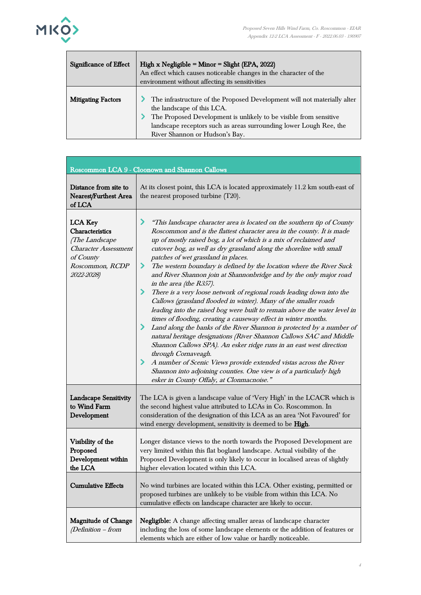

Г

| Significance of Effect    | High x Negligible = $Minor = Slight (EPA, 2022)$<br>An effect which causes noticeable changes in the character of the<br>environment without affecting its sensitivities                                                                                                            |
|---------------------------|-------------------------------------------------------------------------------------------------------------------------------------------------------------------------------------------------------------------------------------------------------------------------------------|
| <b>Mitigating Factors</b> | The infrastructure of the Proposed Development will not materially alter<br>the landscape of this LCA.<br>The Proposed Development is unlikely to be visible from sensitive<br>landscape receptors such as areas surrounding lower Lough Ree, the<br>River Shannon or Hudson's Bay. |

|                                                                                                                                         | Roscommon LCA 9 - Cloonown and Shannon Callows                                                                                                                                                                                                                                                                                                                                                                                                                                                                                                                                                                                                                                                                                                                                                                                                                                                                                                                                                                                                                                                                                                                                                                                                                              |
|-----------------------------------------------------------------------------------------------------------------------------------------|-----------------------------------------------------------------------------------------------------------------------------------------------------------------------------------------------------------------------------------------------------------------------------------------------------------------------------------------------------------------------------------------------------------------------------------------------------------------------------------------------------------------------------------------------------------------------------------------------------------------------------------------------------------------------------------------------------------------------------------------------------------------------------------------------------------------------------------------------------------------------------------------------------------------------------------------------------------------------------------------------------------------------------------------------------------------------------------------------------------------------------------------------------------------------------------------------------------------------------------------------------------------------------|
| Distance from site to<br>Nearest/Furthest Area<br>of LCA                                                                                | At its closest point, this LCA is located approximately 11.2 km south-east of<br>the nearest proposed turbine (T20).                                                                                                                                                                                                                                                                                                                                                                                                                                                                                                                                                                                                                                                                                                                                                                                                                                                                                                                                                                                                                                                                                                                                                        |
| <b>LCA Key</b><br>Characteristics<br><i>(The Landscape</i><br><b>Character Assessment</b><br>of County<br>Roscommon, RCDP<br>2022-2028) | ≻<br>"This landscape character area is located on the southern tip of County<br>Roscommon and is the flattest character area in the county. It is made<br>up of mostly raised bog, a lot of which is a mix of reclaimed and<br>cutover bog, as well as dry grassland along the shoreline with small<br>patches of wet grassland in places.<br>⋗<br>The western boundary is defined by the location where the River Suck<br>and River Shannon join at Shannonbridge and by the only major road<br>in the area (the R357).<br>≻<br>There is a very loose network of regional roads leading down into the<br>Callows (grassland flooded in winter). Many of the smaller roads<br>leading into the raised bog were built to remain above the water level in<br>times of flooding, creating a causeway effect in winter months.<br>≻<br>Land along the banks of the River Shannon is protected by a number of<br>natural heritage designations (River Shannon Callows SAC and Middle<br>Shannon Callows SPA). An esker ridge runs in an east west direction<br>through Cornaveagh.<br>⋗<br>A number of Scenic Views provide extended vistas across the River<br>Shannon into adjoining counties. One view is of a particularly high<br>esker in County Offaly, at Clonmacnoise." |
| <b>Landscape Sensitivity</b><br>to Wind Farm<br>Development                                                                             | The LCA is given a landscape value of 'Very High' in the LCACR which is<br>the second highest value attributed to LCAs in Co. Roscommon. In<br>consideration of the designation of this LCA as an area 'Not Favoured' for<br>wind energy development, sensitivity is deemed to be High.                                                                                                                                                                                                                                                                                                                                                                                                                                                                                                                                                                                                                                                                                                                                                                                                                                                                                                                                                                                     |
| Visibility of the<br>Proposed<br>Development within<br>the LCA                                                                          | Longer distance views to the north towards the Proposed Development are<br>very limited within this flat bogland landscape. Actual visibility of the<br>Proposed Development is only likely to occur in localised areas of slightly<br>higher elevation located within this LCA.                                                                                                                                                                                                                                                                                                                                                                                                                                                                                                                                                                                                                                                                                                                                                                                                                                                                                                                                                                                            |
| <b>Cumulative Effects</b>                                                                                                               | No wind turbines are located within this LCA. Other existing, permitted or<br>proposed turbines are unlikely to be visible from within this LCA. No<br>cumulative effects on landscape character are likely to occur.                                                                                                                                                                                                                                                                                                                                                                                                                                                                                                                                                                                                                                                                                                                                                                                                                                                                                                                                                                                                                                                       |
| <b>Magnitude of Change</b><br>(Definition - from                                                                                        | Negligible: A change affecting smaller areas of landscape character<br>including the loss of some landscape elements or the addition of features or<br>elements which are either of low value or hardly noticeable.                                                                                                                                                                                                                                                                                                                                                                                                                                                                                                                                                                                                                                                                                                                                                                                                                                                                                                                                                                                                                                                         |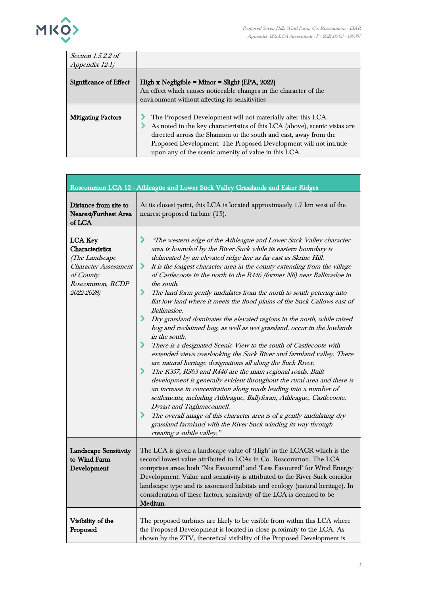

| Section $1.5.2.2$ of      |                                                                                                                                                                                                                                                                                                                                           |
|---------------------------|-------------------------------------------------------------------------------------------------------------------------------------------------------------------------------------------------------------------------------------------------------------------------------------------------------------------------------------------|
| Appendix 12-1)            |                                                                                                                                                                                                                                                                                                                                           |
| Significance of Effect    | High x Negligible = $Minor = Slight (EPA, 2022)$<br>An effect which causes noticeable changes in the character of the<br>environment without affecting its sensitivities                                                                                                                                                                  |
| <b>Mitigating Factors</b> | The Proposed Development will not materially alter this LCA.<br>As noted in the key characteristics of this LCA (above), scenic vistas are<br>directed across the Shannon to the south and east, away from the<br>Proposed Development. The Proposed Development will not intrude<br>upon any of the scenic amenity of value in this LCA. |

|                                                                                                                                  | Roscommon LCA 12 - Athleague and Lower Suck Valley Grasslands and Esker Ridges                                                                                                                                                                                                                                                                                                                                                                                                                                                                                                                                                                                                                                                                                                                                                                                                                                                                                                                                                                                                                                                                                                                                                                                                                                                                                                                                                                                           |
|----------------------------------------------------------------------------------------------------------------------------------|--------------------------------------------------------------------------------------------------------------------------------------------------------------------------------------------------------------------------------------------------------------------------------------------------------------------------------------------------------------------------------------------------------------------------------------------------------------------------------------------------------------------------------------------------------------------------------------------------------------------------------------------------------------------------------------------------------------------------------------------------------------------------------------------------------------------------------------------------------------------------------------------------------------------------------------------------------------------------------------------------------------------------------------------------------------------------------------------------------------------------------------------------------------------------------------------------------------------------------------------------------------------------------------------------------------------------------------------------------------------------------------------------------------------------------------------------------------------------|
| Distance from site to<br><b>Nearest/Furthest Area</b><br>of LCA $\,$                                                             | At its closest point, this LCA is located approximately 1.7 km west of the<br>nearest proposed turbine (T5).                                                                                                                                                                                                                                                                                                                                                                                                                                                                                                                                                                                                                                                                                                                                                                                                                                                                                                                                                                                                                                                                                                                                                                                                                                                                                                                                                             |
| <b>LCA Key</b><br>Characteristics<br>(The Landscape<br><i>Character Assessment</i><br>of County<br>Roscommon, RCDP<br>2022-2028) | ⋗<br>"The western edge of the Athleague and Lower Suck Valley character<br>area is bounded by the River Suck while its eastern boundary is<br>delineated by an elevated ridge line as far east as Skrine Hill.<br>⋗<br>It is the longest character area in the county extending from the village<br>of Castlecoote in the north to the R446 (former N6) near Ballinasloe in<br>the south.<br>⋗<br>The land form gently undulates from the north to south petering into<br>flat low land where it meets the flood plains of the Suck Callows east of<br>Ballinasloe.<br>⋗<br>Dry grassland dominates the elevated regions in the north, while raised<br>bog and reclaimed bog, as well as wet grassland, occur in the lowlands<br>in the south.<br>⋗<br>There is a designated Scenic View to the south of Castlecoote with<br>extended views overlooking the Suck River and farmland valley. There<br>are natural heritage designations all along the Suck River.<br>≻<br>The R357, R363 and R446 are the main regional roads. Built<br>development is generally evident throughout the rural area and there is<br>an increase in concentration along roads leading into a number of<br>settlements, including Athleague, Ballyforan, Athleague, Castlecoote,<br>Dysart and Taghmaconnell.<br>≻<br>The overall image of this character area is of a gently undulating dry<br>grassland farmland with the River Suck winding its way through<br>creating a subtle valley." |
| <b>Landscape Sensitivity</b><br>to Wind Farm<br>Development                                                                      | The LCA is given a landscape value of 'High' in the LCACR which is the<br>second lowest value attributed to LCAs in Co. Roscommon. The LCA<br>comprises areas both 'Not Favoured' and 'Less Favoured' for Wind Energy<br>Development. Value and sensitivity is attributed to the River Suck corridor<br>landscape type and its associated habitats and ecology (natural heritage). In<br>consideration of these factors, sensitivity of the LCA is deemed to be<br>Medium.                                                                                                                                                                                                                                                                                                                                                                                                                                                                                                                                                                                                                                                                                                                                                                                                                                                                                                                                                                                               |
| Visibility of the<br>Proposed                                                                                                    | The proposed turbines are likely to be visible from within this LCA where<br>the Proposed Development is located in close proximity to the LCA. As<br>shown by the ZTV, theoretical visibility of the Proposed Development is                                                                                                                                                                                                                                                                                                                                                                                                                                                                                                                                                                                                                                                                                                                                                                                                                                                                                                                                                                                                                                                                                                                                                                                                                                            |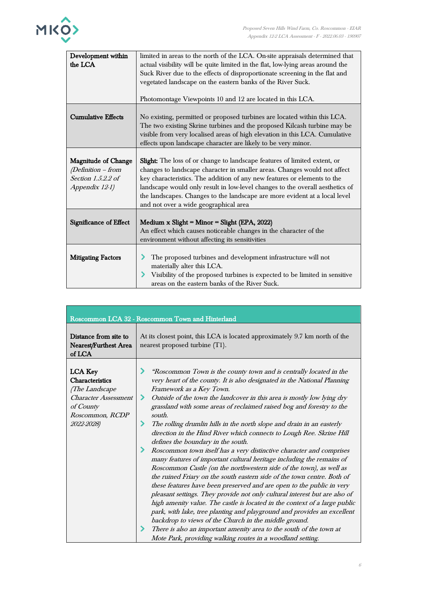

| Development within<br>the LCA                                                            | limited in areas to the north of the LCA. On-site appraisals determined that<br>actual visibility will be quite limited in the flat, low-lying areas around the<br>Suck River due to the effects of disproportionate screening in the flat and<br>vegetated landscape on the eastern banks of the River Suck.<br>Photomontage Viewpoints 10 and 12 are located in this LCA.                                                                       |
|------------------------------------------------------------------------------------------|---------------------------------------------------------------------------------------------------------------------------------------------------------------------------------------------------------------------------------------------------------------------------------------------------------------------------------------------------------------------------------------------------------------------------------------------------|
| <b>Cumulative Effects</b>                                                                | No existing, permitted or proposed turbines are located within this LCA.<br>The two existing Skrine turbines and the proposed Kilcash turbine may be<br>visible from very localised areas of high elevation in this LCA. Cumulative<br>effects upon landscape character are likely to be very minor.                                                                                                                                              |
| <b>Magnitude of Change</b><br>(Definition - from<br>Section 1.5.2.2 of<br>Appendix 12-1) | <b>Slight:</b> The loss of or change to landscape features of limited extent, or<br>changes to landscape character in smaller areas. Changes would not affect<br>key characteristics. The addition of any new features or elements to the<br>landscape would only result in low-level changes to the overall aesthetics of<br>the landscapes. Changes to the landscape are more evident at a local level<br>and not over a wide geographical area |
| Significance of Effect                                                                   | Medium x Slight = Minor = Slight (EPA, 2022)<br>An effect which causes noticeable changes in the character of the<br>environment without affecting its sensitivities                                                                                                                                                                                                                                                                              |
| <b>Mitigating Factors</b>                                                                | The proposed turbines and development infrastructure will not<br>materially alter this LCA.<br>Visibility of the proposed turbines is expected to be limited in sensitive<br>areas on the eastern banks of the River Suck.                                                                                                                                                                                                                        |

|                                                                                                                                  | Roscommon LCA 32 - Roscommon Town and Hinterland                                                                                                                                                                                                                                                                                                                                                                                                                                                                                                                                                                                                                                                                                                                                                                                                                                                                                                                                                                                                                                                                                                                                                                                                                                                                                                                    |
|----------------------------------------------------------------------------------------------------------------------------------|---------------------------------------------------------------------------------------------------------------------------------------------------------------------------------------------------------------------------------------------------------------------------------------------------------------------------------------------------------------------------------------------------------------------------------------------------------------------------------------------------------------------------------------------------------------------------------------------------------------------------------------------------------------------------------------------------------------------------------------------------------------------------------------------------------------------------------------------------------------------------------------------------------------------------------------------------------------------------------------------------------------------------------------------------------------------------------------------------------------------------------------------------------------------------------------------------------------------------------------------------------------------------------------------------------------------------------------------------------------------|
| Distance from site to<br>Nearest/Furthest Area<br>of LCA                                                                         | At its closest point, this LCA is located approximately 9.7 km north of the<br>nearest proposed turbine (T1).                                                                                                                                                                                                                                                                                                                                                                                                                                                                                                                                                                                                                                                                                                                                                                                                                                                                                                                                                                                                                                                                                                                                                                                                                                                       |
| <b>LCA</b> Key<br>Characteristics<br>(The Landscape<br><b>Character Assessment</b><br>of County<br>Roscommon, RCDP<br>2022-2028) | "Roscommon Town is the county town and is centrally located in the<br>very heart of the county. It is also designated in the National Planning<br>Framework as a Key Town.<br>≻<br>Outside of the town the landcover in this area is mostly low lying dry<br>grassland with some areas of reclaimed raised bog and forestry to the<br>south.<br>≻<br>The rolling drumlin hills in the north slope and drain in an easterly<br>direction in the Hind River which connects to Lough Ree. Skrine Hill<br>defines the boundary in the south.<br>Roscommon town itself has a very distinctive character and comprises<br>⋗<br>many features of important cultural heritage including the remains of<br>Roscommon Castle (on the northwestern side of the town), as well as<br>the ruined Friary on the south eastern side of the town centre. Both of<br>these features have been preserved and are open to the public in very<br>pleasant settings. They provide not only cultural interest but are also of<br>high amenity value. The castle is located in the context of a large public<br>park, with lake, tree planting and playground and provides an excellent<br>backdrop to views of the Church in the middle ground.<br>There is also an important amenity area to the south of the town at<br>⋗<br>Mote Park, providing walking routes in a woodland setting. |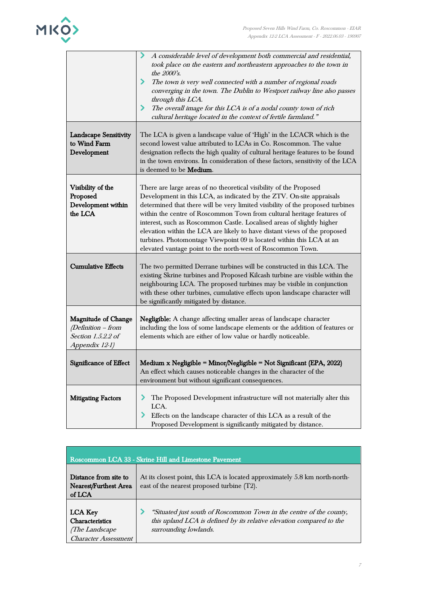

|                                                                                          | A considerable level of development both commercial and residential,<br>took place on the eastern and northeastern approaches to the town in<br>the 2000's.<br>≻<br>The town is very well connected with a number of regional roads<br>converging in the town. The Dublin to Westport railway line also passes<br>through this LCA.<br>The overall image for this LCA is of a nodal county town of rich<br>⋗<br>cultural heritage located in the context of fertile farmland."                                                                                                                       |
|------------------------------------------------------------------------------------------|------------------------------------------------------------------------------------------------------------------------------------------------------------------------------------------------------------------------------------------------------------------------------------------------------------------------------------------------------------------------------------------------------------------------------------------------------------------------------------------------------------------------------------------------------------------------------------------------------|
| <b>Landscape Sensitivity</b><br>to Wind Farm<br>Development                              | The LCA is given a landscape value of 'High' in the LCACR which is the<br>second lowest value attributed to LCAs in Co. Roscommon. The value<br>designation reflects the high quality of cultural heritage features to be found<br>in the town environs. In consideration of these factors, sensitivity of the LCA<br>is deemed to be Medium.                                                                                                                                                                                                                                                        |
| Visibility of the<br>Proposed<br>Development within<br>the LCA                           | There are large areas of no theoretical visibility of the Proposed<br>Development in this LCA, as indicated by the ZTV. On-site appraisals<br>determined that there will be very limited visibility of the proposed turbines<br>within the centre of Roscommon Town from cultural heritage features of<br>interest, such as Roscommon Castle. Localised areas of slightly higher<br>elevation within the LCA are likely to have distant views of the proposed<br>turbines. Photomontage Viewpoint 09 is located within this LCA at an<br>elevated vantage point to the north-west of Roscommon Town. |
| <b>Cumulative Effects</b>                                                                | The two permitted Derrane turbines will be constructed in this LCA. The<br>existing Skrine turbines and Proposed Kilcash turbine are visible within the<br>neighbouring LCA. The proposed turbines may be visible in conjunction<br>with these other turbines, cumulative effects upon landscape character will<br>be significantly mitigated by distance.                                                                                                                                                                                                                                           |
| <b>Magnitude of Change</b><br>(Definition - from<br>Section 1.5.2.2 of<br>Appendix 12-1) | Negligible: A change affecting smaller areas of landscape character<br>including the loss of some landscape elements or the addition of features or<br>elements which are either of low value or hardly noticeable.                                                                                                                                                                                                                                                                                                                                                                                  |
| Significance of Effect                                                                   | Medium x Negligible = Minor/Negligible = Not Significant (EPA, 2022)<br>An effect which causes noticeable changes in the character of the<br>environment but without significant consequences.                                                                                                                                                                                                                                                                                                                                                                                                       |
| <b>Mitigating Factors</b>                                                                | ⋗<br>The Proposed Development infrastructure will not materially alter this<br>LCA.<br>⋗<br>Effects on the landscape character of this LCA as a result of the<br>Proposed Development is significantly mitigated by distance.                                                                                                                                                                                                                                                                                                                                                                        |

| Roscommon LCA 33 - Skrine Hill and Limestone Pavement                                     |                                                                                                                                                                      |  |
|-------------------------------------------------------------------------------------------|----------------------------------------------------------------------------------------------------------------------------------------------------------------------|--|
| Distance from site to<br>Nearest/Furthest Area<br>of LCA                                  | At its closest point, this LCA is located approximately 5.8 km north-north-<br>east of the nearest proposed turbine (T2).                                            |  |
| <b>LCA Key</b><br><b>Characteristics</b><br>(The Landscape<br><b>Character Assessment</b> | "Situated just south of Roscommon Town in the centre of the county,<br>this upland LCA is defined by its relative elevation compared to the<br>surrounding lowlands. |  |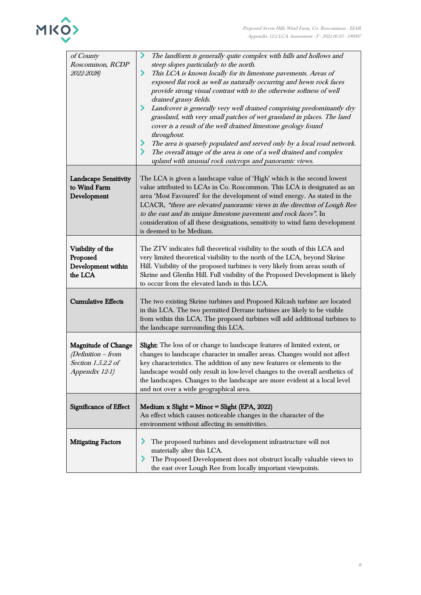

| of County<br>Roscommon, RCDP<br>2022-2028)                                               | The landform is generally quite complex with hills and hollows and<br>⋗<br>steep slopes particularly to the north.<br>This LCA is known locally for its limestone pavements. Areas of<br>⋗<br>exposed flat rock as well as naturally occurring and hewn rock faces<br>provide strong visual contrast with to the otherwise softness of well<br>drained grassy fields.<br>Landcover is generally very well drained comprising predominantly dry<br>grassland, with very small patches of wet grassland in places. The land<br>cover is a result of the well drained limestone geology found<br>throughout.<br>The area is sparsely populated and served only by a local road network.<br>The overall image of the area is one of a well drained and complex<br>upland with unusual rock outcrops and panoramic views. |
|------------------------------------------------------------------------------------------|----------------------------------------------------------------------------------------------------------------------------------------------------------------------------------------------------------------------------------------------------------------------------------------------------------------------------------------------------------------------------------------------------------------------------------------------------------------------------------------------------------------------------------------------------------------------------------------------------------------------------------------------------------------------------------------------------------------------------------------------------------------------------------------------------------------------|
| <b>Landscape Sensitivity</b><br>to Wind Farm<br>Development                              | The LCA is given a landscape value of 'High' which is the second lowest<br>value attributed to LCAs in Co. Roscommon. This LCA is designated as an<br>area 'Most Favoured' for the development of wind energy. As stated in the<br>LCACR, "there are elevated panoramic views in the direction of Lough Ree<br>to the east and its unique limestone pavement and rock faces". In<br>consideration of all these designations, sensitivity to wind farm development<br>is deemed to be Medium.                                                                                                                                                                                                                                                                                                                         |
| Visibility of the<br>Proposed<br>Development within<br>the LCA                           | The ZTV indicates full theoretical visibility to the south of this LCA and<br>very limited theoretical visibility to the north of the LCA, beyond Skrine<br>Hill. Visibility of the proposed turbines is very likely from areas south of<br>Skrine and Glenfin Hill. Full visibility of the Proposed Development is likely<br>to occur from the elevated lands in this LCA.                                                                                                                                                                                                                                                                                                                                                                                                                                          |
| <b>Cumulative Effects</b>                                                                | The two existing Skrine turbines and Proposed Kilcash turbine are located<br>in this LCA. The two permitted Derrane turbines are likely to be visible<br>from within this LCA. The proposed turbines will add additional turbines to<br>the landscape surrounding this LCA.                                                                                                                                                                                                                                                                                                                                                                                                                                                                                                                                          |
| <b>Magnitude of Change</b><br>(Definition - from<br>Section 1.5.2.2 of<br>Appendix 12-1) | Slight: The loss of or change to landscape features of limited extent, or<br>changes to landscape character in smaller areas. Changes would not affect<br>key characteristics. The addition of any new features or elements to the<br>landscape would only result in low-level changes to the overall aesthetics of<br>the landscapes. Changes to the landscape are more evident at a local level<br>and not over a wide geographical area.                                                                                                                                                                                                                                                                                                                                                                          |
| Significance of Effect                                                                   | Medium $x$ Slight = Minor = Slight (EPA, 2022)<br>An effect which causes noticeable changes in the character of the<br>environment without affecting its sensitivities.                                                                                                                                                                                                                                                                                                                                                                                                                                                                                                                                                                                                                                              |
| <b>Mitigating Factors</b>                                                                | ⋗<br>The proposed turbines and development infrastructure will not<br>materially alter this LCA.<br>⋗<br>The Proposed Development does not obstruct locally valuable views to<br>the east over Lough Ree from locally important viewpoints.                                                                                                                                                                                                                                                                                                                                                                                                                                                                                                                                                                          |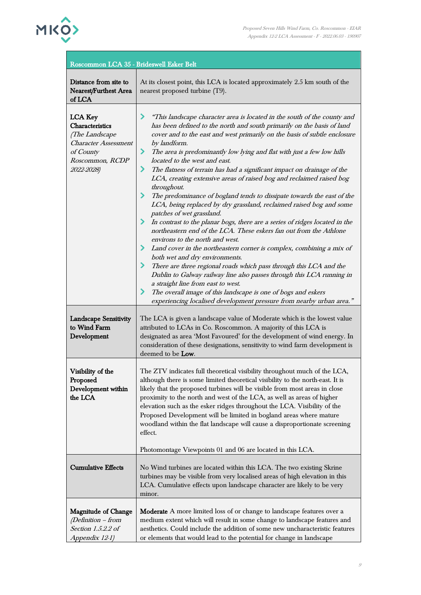

| Roscommon LCA 35 - Brideswell Esker Belt                                                                                                |                                                                                                                                                                                                                                                                                                                                                                                                                                                                                                                                                                                                                                                                                                                                                                                                                                                                                                                                                                                                                                                                                                                                                                                                                                                                                                                                                                |
|-----------------------------------------------------------------------------------------------------------------------------------------|----------------------------------------------------------------------------------------------------------------------------------------------------------------------------------------------------------------------------------------------------------------------------------------------------------------------------------------------------------------------------------------------------------------------------------------------------------------------------------------------------------------------------------------------------------------------------------------------------------------------------------------------------------------------------------------------------------------------------------------------------------------------------------------------------------------------------------------------------------------------------------------------------------------------------------------------------------------------------------------------------------------------------------------------------------------------------------------------------------------------------------------------------------------------------------------------------------------------------------------------------------------------------------------------------------------------------------------------------------------|
| Distance from site to<br>Nearest/Furthest Area<br>of LCA                                                                                | At its closest point, this LCA is located approximately 2.5 km south of the<br>nearest proposed turbine (T9).                                                                                                                                                                                                                                                                                                                                                                                                                                                                                                                                                                                                                                                                                                                                                                                                                                                                                                                                                                                                                                                                                                                                                                                                                                                  |
| <b>LCA Key</b><br><b>Characteristics</b><br>(The Landscape<br><b>Character Assessment</b><br>of County<br>Roscommon, RCDP<br>2022-2028) | "This landscape character area is located in the south of the county and<br>has been defined to the north and south primarily on the basis of land<br>cover and to the east and west primarily on the basis of subtle enclosure<br>by landform.<br>The area is predominantly low lying and flat with just a few low hills<br>⋗<br>located to the west and east.<br>The flatness of terrain has had a significant impact on drainage of the<br>⋗<br>LCA, creating extensive areas of raised bog and reclaimed raised bog<br>throughout.<br>The predominance of bogland tends to dissipate towards the east of the<br>⋗<br>LCA, being replaced by dry grassland, reclaimed raised bog and some<br>patches of wet grassland.<br>In contrast to the planar bogs, there are a series of ridges located in the<br>northeastern end of the LCA. These eskers fan out from the Athlone<br>environs to the north and west.<br>Land cover in the northeastern corner is complex, combining a mix of<br>both wet and dry environments.<br>There are three regional roads which pass through this LCA and the<br>⋗<br>Dublin to Galway railway line also passes through this LCA running in<br>a straight line from east to west.<br>The overall image of this landscape is one of bogs and eskers<br>experiencing localised development pressure from nearby urban area." |
| <b>Landscape Sensitivity</b><br>to Wind Farm<br>Development                                                                             | The LCA is given a landscape value of Moderate which is the lowest value<br>attributed to LCAs in Co. Roscommon. A majority of this LCA is<br>designated as area 'Most Favoured' for the development of wind energy. In<br>consideration of these designations, sensitivity to wind farm development is<br>deemed to be Low.                                                                                                                                                                                                                                                                                                                                                                                                                                                                                                                                                                                                                                                                                                                                                                                                                                                                                                                                                                                                                                   |
| Visibility of the<br>Proposed<br>Development within<br>the LCA                                                                          | The ZTV indicates full theoretical visibility throughout much of the LCA,<br>although there is some limited theoretical visibility to the north-east. It is<br>likely that the proposed turbines will be visible from most areas in close<br>proximity to the north and west of the LCA, as well as areas of higher<br>elevation such as the esker ridges throughout the LCA. Visibility of the<br>Proposed Development will be limited in bogland areas where mature<br>woodland within the flat landscape will cause a disproportionate screening<br>effect.<br>Photomontage Viewpoints 01 and 06 are located in this LCA.                                                                                                                                                                                                                                                                                                                                                                                                                                                                                                                                                                                                                                                                                                                                   |
| <b>Cumulative Effects</b>                                                                                                               | No Wind turbines are located within this LCA. The two existing Skrine<br>turbines may be visible from very localised areas of high elevation in this<br>LCA. Cumulative effects upon landscape character are likely to be very<br>minor.                                                                                                                                                                                                                                                                                                                                                                                                                                                                                                                                                                                                                                                                                                                                                                                                                                                                                                                                                                                                                                                                                                                       |
| <b>Magnitude of Change</b><br>(Definition – from<br>Section 1.5.2.2 of<br>Appendix 12-1)                                                | <b>Moderate</b> A more limited loss of or change to landscape features over a<br>medium extent which will result in some change to landscape features and<br>aesthetics. Could include the addition of some new uncharacteristic features<br>or elements that would lead to the potential for change in landscape                                                                                                                                                                                                                                                                                                                                                                                                                                                                                                                                                                                                                                                                                                                                                                                                                                                                                                                                                                                                                                              |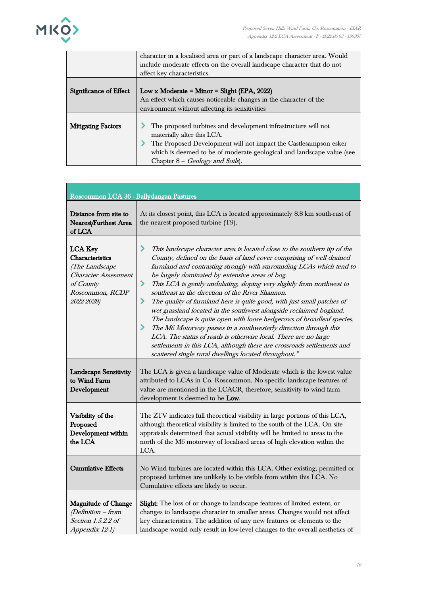

|                           | character in a localised area or part of a landscape character area. Would<br>include moderate effects on the overall landscape character that do not                                                                                                                       |
|---------------------------|-----------------------------------------------------------------------------------------------------------------------------------------------------------------------------------------------------------------------------------------------------------------------------|
|                           | affect key characteristics.                                                                                                                                                                                                                                                 |
| Significance of Effect    | Low x Moderate = Minor = Slight (EPA, 2022)<br>An effect which causes noticeable changes in the character of the<br>environment without affecting its sensitivities                                                                                                         |
| <b>Mitigating Factors</b> | The proposed turbines and development infrastructure will not<br>materially alter this LCA.<br>The Proposed Development will not impact the Castlesampson esker<br>which is deemed to be of moderate geological and landscape value (see<br>Chapter 8 - Geology and Soils). |

| Roscommon LCA 36 - Ballydangan Pastures                                                                                          |                                                                                                                                                                                                                                                                                                                                                                                                                                                                                                                                                                                                                                                                                                                                                                                                                                                                                                                                       |
|----------------------------------------------------------------------------------------------------------------------------------|---------------------------------------------------------------------------------------------------------------------------------------------------------------------------------------------------------------------------------------------------------------------------------------------------------------------------------------------------------------------------------------------------------------------------------------------------------------------------------------------------------------------------------------------------------------------------------------------------------------------------------------------------------------------------------------------------------------------------------------------------------------------------------------------------------------------------------------------------------------------------------------------------------------------------------------|
| Distance from site to<br>Nearest/Furthest Area<br>of LCA                                                                         | At its closest point, this LCA is located approximately 8.8 km south-east of<br>the nearest proposed turbine (T9).                                                                                                                                                                                                                                                                                                                                                                                                                                                                                                                                                                                                                                                                                                                                                                                                                    |
| <b>LCA Key</b><br>Characteristics<br>(The Landscape<br><b>Character Assessment</b><br>of County<br>Roscommon, RCDP<br>2022-2028) | ⋗<br>This landscape character area is located close to the southern tip of the<br>County, defined on the basis of land cover comprising of well drained<br>farmland and contrasting strongly with surrounding LCAs which tend to<br>be largely dominated by extensive areas of bog.<br>This LCA is gently undulating, sloping very slightly from northwest to<br>⋗<br>southeast in the direction of the River Shannon.<br>The quality of farmland here is quite good, with just small patches of<br>⋗<br>wet grassland located in the southwest alongside reclaimed bogland.<br>The landscape is quite open with loose hedgerows of broadleaf species.<br>⋗<br>The M6 Motorway passes in a southwesterly direction through this<br>LCA. The status of roads is otherwise local. There are no large<br>settlements in this LCA, although there are crossroads settlements and<br>scattered single rural dwellings located throughout." |
| <b>Landscape Sensitivity</b><br>to Wind Farm<br>Development                                                                      | The LCA is given a landscape value of Moderate which is the lowest value<br>attributed to LCAs in Co. Roscommon. No specific landscape features of<br>value are mentioned in the LCACR, therefore, sensitivity to wind farm<br>development is deemed to be Low.                                                                                                                                                                                                                                                                                                                                                                                                                                                                                                                                                                                                                                                                       |
| Visibility of the<br>Proposed<br>Development within<br>the LCA                                                                   | The ZTV indicates full theoretical visibility in large portions of this LCA,<br>although theoretical visibility is limited to the south of the LCA. On site<br>appraisals determined that actual visibility will be limited to areas to the<br>north of the M6 motorway of localised areas of high elevation within the<br>LCA.                                                                                                                                                                                                                                                                                                                                                                                                                                                                                                                                                                                                       |
| <b>Cumulative Effects</b>                                                                                                        | No Wind turbines are located within this LCA. Other existing, permitted or<br>proposed turbines are unlikely to be visible from within this LCA. No<br>Cumulative effects are likely to occur.                                                                                                                                                                                                                                                                                                                                                                                                                                                                                                                                                                                                                                                                                                                                        |
| <b>Magnitude of Change</b><br>$(Definition - from$<br>Section 1.5.2.2 of<br>Appendix 12-1)                                       | Slight: The loss of or change to landscape features of limited extent, or<br>changes to landscape character in smaller areas. Changes would not affect<br>key characteristics. The addition of any new features or elements to the<br>landscape would only result in low-level changes to the overall aesthetics of                                                                                                                                                                                                                                                                                                                                                                                                                                                                                                                                                                                                                   |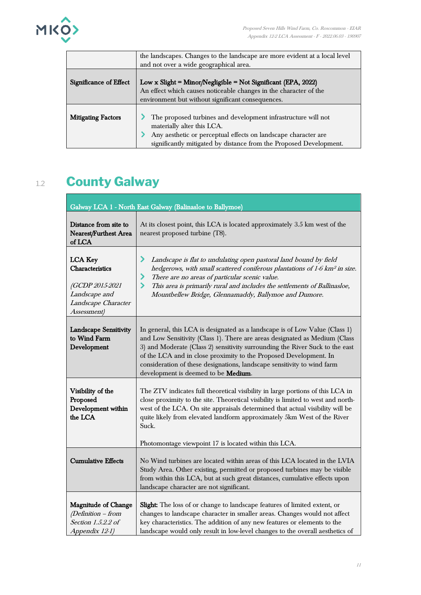

|                           | the landscapes. Changes to the landscape are more evident at a local level                  |
|---------------------------|---------------------------------------------------------------------------------------------|
|                           | and not over a wide geographical area.                                                      |
| Significance of Effect    | Low x Slight = Minor/Negligible = Not Significant (EPA, 2022)                               |
|                           | An effect which causes noticeable changes in the character of the                           |
|                           | environment but without significant consequences.                                           |
| <b>Mitigating Factors</b> | The proposed turbines and development infrastructure will not<br>materially alter this LCA. |
|                           | Any aesthetic or perceptual effects on landscape character are                              |
|                           | significantly mitigated by distance from the Proposed Development.                          |

## 1.2 **County Galway**

| Galway LCA 1 - North East Galway (Balinasloe to Ballymoe)                                                   |                                                                                                                                                                                                                                                                                                                                                                                                                                  |
|-------------------------------------------------------------------------------------------------------------|----------------------------------------------------------------------------------------------------------------------------------------------------------------------------------------------------------------------------------------------------------------------------------------------------------------------------------------------------------------------------------------------------------------------------------|
| Distance from site to<br><b>Nearest/Furthest Area</b><br>of LCA                                             | At its closest point, this LCA is located approximately 3.5 km west of the<br>nearest proposed turbine (T8).                                                                                                                                                                                                                                                                                                                     |
| <b>LCA Key</b><br>Characteristics<br>(GCDP 2015-2021<br>Landscape and<br>Landscape Character<br>Assessment) | ⋗<br>Landscape is flat to undulating open pastoral land bound by field<br>hedgerows, with small scattered coniferous plantations of 1-6 km <sup>2</sup> in size.<br>There are no areas of particular scenic value.<br>⋗<br>≻<br>This area is primarily rural and includes the settlements of Ballinasloe,<br>Mountbellew Bridge, Glennamaddy, Ballymoe and Dumore.                                                               |
| <b>Landscape Sensitivity</b><br>to Wind Farm<br>Development                                                 | In general, this LCA is designated as a landscape is of Low Value (Class 1)<br>and Low Sensitivity (Class 1). There are areas designated as Medium (Class<br>3) and Moderate (Class 2) sensitivity surrounding the River Suck to the east<br>of the LCA and in close proximity to the Proposed Development. In<br>consideration of these designations, landscape sensitivity to wind farm<br>development is deemed to be Medium. |
| Visibility of the<br>Proposed<br>Development within<br>the LCA                                              | The ZTV indicates full theoretical visibility in large portions of this LCA in<br>close proximity to the site. Theoretical visibility is limited to west and north-<br>west of the LCA. On site appraisals determined that actual visibility will be<br>quite likely from elevated landform approximately 5km West of the River<br>Suck.<br>Photomontage viewpoint 17 is located within this LCA.                                |
| <b>Cumulative Effects</b>                                                                                   | No Wind turbines are located within areas of this LCA located in the LVIA<br>Study Area. Other existing, permitted or proposed turbines may be visible<br>from within this LCA, but at such great distances, cumulative effects upon<br>landscape character are not significant.                                                                                                                                                 |
| <b>Magnitude of Change</b><br>$(Definition - from$<br>Section 1.5.2.2 of<br>Appendix 12-1)                  | Slight: The loss of or change to landscape features of limited extent, or<br>changes to landscape character in smaller areas. Changes would not affect<br>key characteristics. The addition of any new features or elements to the<br>landscape would only result in low-level changes to the overall aesthetics of                                                                                                              |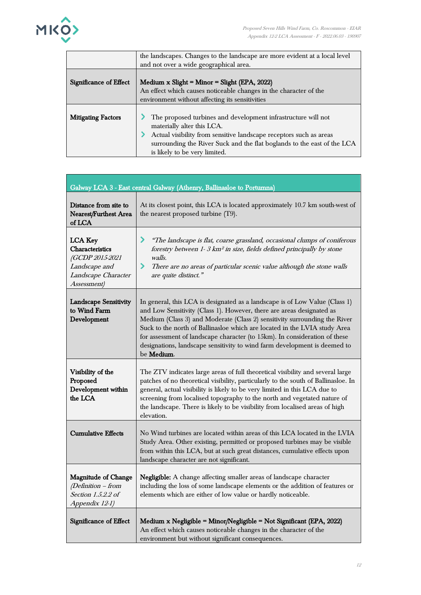

ľ

|                           | the landscapes. Changes to the landscape are more evident at a local level |
|---------------------------|----------------------------------------------------------------------------|
|                           | and not over a wide geographical area.                                     |
|                           |                                                                            |
| Significance of Effect    | Medium $x$ Slight = Minor = Slight (EPA, 2022)                             |
|                           | An effect which causes noticeable changes in the character of the          |
|                           | environment without affecting its sensitivities                            |
|                           |                                                                            |
| <b>Mitigating Factors</b> | The proposed turbines and development infrastructure will not              |
|                           | materially alter this LCA.                                                 |
|                           | Actual visibility from sensitive landscape receptors such as areas         |
|                           | surrounding the River Suck and the flat boglands to the east of the LCA    |
|                           | is likely to be very limited.                                              |

| Galway LCA 3 - East central Galway (Athenry, Ballinasloe to Portumna)                                       |                                                                                                                                                                                                                                                                                                                                                                                                                                                                                                 |
|-------------------------------------------------------------------------------------------------------------|-------------------------------------------------------------------------------------------------------------------------------------------------------------------------------------------------------------------------------------------------------------------------------------------------------------------------------------------------------------------------------------------------------------------------------------------------------------------------------------------------|
| Distance from site to<br><b>Nearest/Furthest Area</b><br>of LCA                                             | At its closest point, this LCA is located approximately 10.7 km south-west of<br>the nearest proposed turbine (T9).                                                                                                                                                                                                                                                                                                                                                                             |
| <b>LCA Key</b><br>Characteristics<br>(GCDP 2015-2021<br>Landscape and<br>Landscape Character<br>Assessment) | ⋗<br>"The landscape is flat, coarse grassland, occasional clumps of coniferous<br>forestry between 1-3 km <sup>2</sup> in size, fields defined principally by stone<br>walls.<br>⋗<br>There are no areas of particular scenic value although the stone walls<br>are quite distinct."                                                                                                                                                                                                            |
| <b>Landscape Sensitivity</b><br>to Wind Farm<br>Development                                                 | In general, this LCA is designated as a landscape is of Low Value (Class 1)<br>and Low Sensitivity (Class 1). However, there are areas designated as<br>Medium (Class 3) and Moderate (Class 2) sensitivity surrounding the River<br>Suck to the north of Ballinasloe which are located in the LVIA study Area<br>for assessment of landscape character (to 15km). In consideration of these<br>designations, landscape sensitivity to wind farm development is deemed to<br>be <b>Medium</b> . |
| Visibility of the<br>Proposed<br>Development within<br>the LCA                                              | The ZTV indicates large areas of full theoretical visibility and several large<br>patches of no theoretical visibility, particularly to the south of Ballinasloe. In<br>general, actual visibility is likely to be very limited in this LCA due to<br>screening from localised topography to the north and vegetated nature of<br>the landscape. There is likely to be visibility from localised areas of high<br>elevation.                                                                    |
| <b>Cumulative Effects</b>                                                                                   | No Wind turbines are located within areas of this LCA located in the LVIA<br>Study Area. Other existing, permitted or proposed turbines may be visible<br>from within this LCA, but at such great distances, cumulative effects upon<br>landscape character are not significant.                                                                                                                                                                                                                |
| <b>Magnitude of Change</b><br>(Definition - from<br>Section 1.5.2.2 of<br>Appendix 12-1)                    | Negligible: A change affecting smaller areas of landscape character<br>including the loss of some landscape elements or the addition of features or<br>elements which are either of low value or hardly noticeable.                                                                                                                                                                                                                                                                             |
| Significance of Effect                                                                                      | Medium x Negligible = Minor/Negligible = Not Significant (EPA, 2022)<br>An effect which causes noticeable changes in the character of the<br>environment but without significant consequences.                                                                                                                                                                                                                                                                                                  |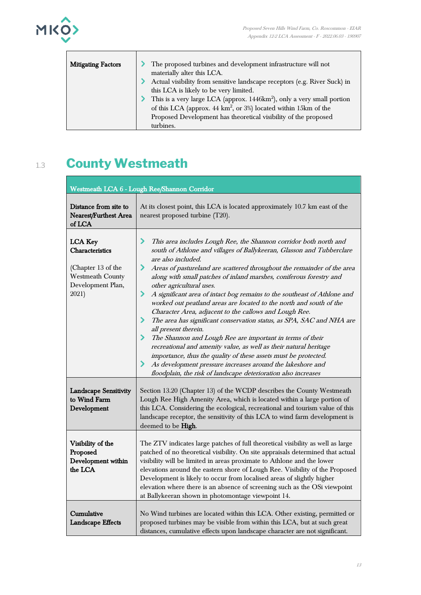

| <b>Mitigating Factors</b> | The proposed turbines and development infrastructure will not                      |
|---------------------------|------------------------------------------------------------------------------------|
|                           | materially alter this LCA.                                                         |
|                           | Actual visibility from sensitive landscape receptors (e.g. River Suck) in          |
|                           | this LCA is likely to be very limited.                                             |
|                           | This is a very large LCA (approx. 1446km <sup>2</sup> ), only a very small portion |
|                           | of this LCA (approx. $44 \text{ km}^2$ , or $3\%$ ) located within 15km of the     |
|                           | Proposed Development has theoretical visibility of the proposed                    |
|                           | turbines.                                                                          |

## 1.3 **County Westmeath**

| Westmeath LCA 6 - Lough Ree/Shannon Corridor                                                                     |                                                                                                                                                                                                                                                                                                                                                                                                                                                                                                                                                                                                                                                                                                                                                                                                                                                                                                                                                                                                                                 |
|------------------------------------------------------------------------------------------------------------------|---------------------------------------------------------------------------------------------------------------------------------------------------------------------------------------------------------------------------------------------------------------------------------------------------------------------------------------------------------------------------------------------------------------------------------------------------------------------------------------------------------------------------------------------------------------------------------------------------------------------------------------------------------------------------------------------------------------------------------------------------------------------------------------------------------------------------------------------------------------------------------------------------------------------------------------------------------------------------------------------------------------------------------|
| Distance from site to<br><b>Nearest/Furthest Area</b><br>of LCA                                                  | At its closest point, this LCA is located approximately 10.7 km east of the<br>nearest proposed turbine (T20).                                                                                                                                                                                                                                                                                                                                                                                                                                                                                                                                                                                                                                                                                                                                                                                                                                                                                                                  |
| <b>LCA Key</b><br>Characteristics<br>(Chapter 13 of the<br><b>Westmeath County</b><br>Development Plan,<br>2021) | ⋗<br>This area includes Lough Ree, the Shannon corridor both north and<br>south of Athlone and villages of Ballykeeran, Glasson and Tubberclare<br>are also included.<br>Areas of pastureland are scattered throughout the remainder of the area<br>⋗<br>along with small patches of inland marshes, coniferous forestry and<br>other agricultural uses.<br>⋗<br>A significant area of intact bog remains to the southeast of Athlone and<br>worked out peatland areas are located to the north and south of the<br>Character Area, adjacent to the callows and Lough Ree.<br>The area has significant conservation status, as SPA, SAC and NHA are<br>⋗<br>all present therein.<br>⋗<br>The Shannon and Lough Ree are important in terms of their<br>recreational and amenity value, as well as their natural heritage<br>importance, thus the quality of these assets must be protected.<br>As development pressure increases around the lakeshore and<br>⋗<br>floodplain, the risk of landscape deterioration also increases |
| <b>Landscape Sensitivity</b><br>to Wind Farm<br>Development                                                      | Section 13.20 (Chapter 13) of the WCDP describes the County Westmeath<br>Lough Ree High Amenity Area, which is located within a large portion of<br>this LCA. Considering the ecological, recreational and tourism value of this<br>landscape receptor, the sensitivity of this LCA to wind farm development is<br>deemed to be High.                                                                                                                                                                                                                                                                                                                                                                                                                                                                                                                                                                                                                                                                                           |
| Visibility of the<br>Proposed<br>Development within<br>the LCA                                                   | The ZTV indicates large patches of full theoretical visibility as well as large<br>patched of no theoretical visibility. On site appraisals determined that actual<br>visibility will be limited in areas proximate to Athlone and the lower<br>elevations around the eastern shore of Lough Ree. Visibility of the Proposed<br>Development is likely to occur from localised areas of slightly higher<br>elevation where there is an absence of screening such as the OSi viewpoint<br>at Ballykeeran shown in photomontage viewpoint 14.                                                                                                                                                                                                                                                                                                                                                                                                                                                                                      |
| Cumulative<br>Landscape Effects                                                                                  | No Wind turbines are located within this LCA. Other existing, permitted or<br>proposed turbines may be visible from within this LCA, but at such great<br>distances, cumulative effects upon landscape character are not significant.                                                                                                                                                                                                                                                                                                                                                                                                                                                                                                                                                                                                                                                                                                                                                                                           |